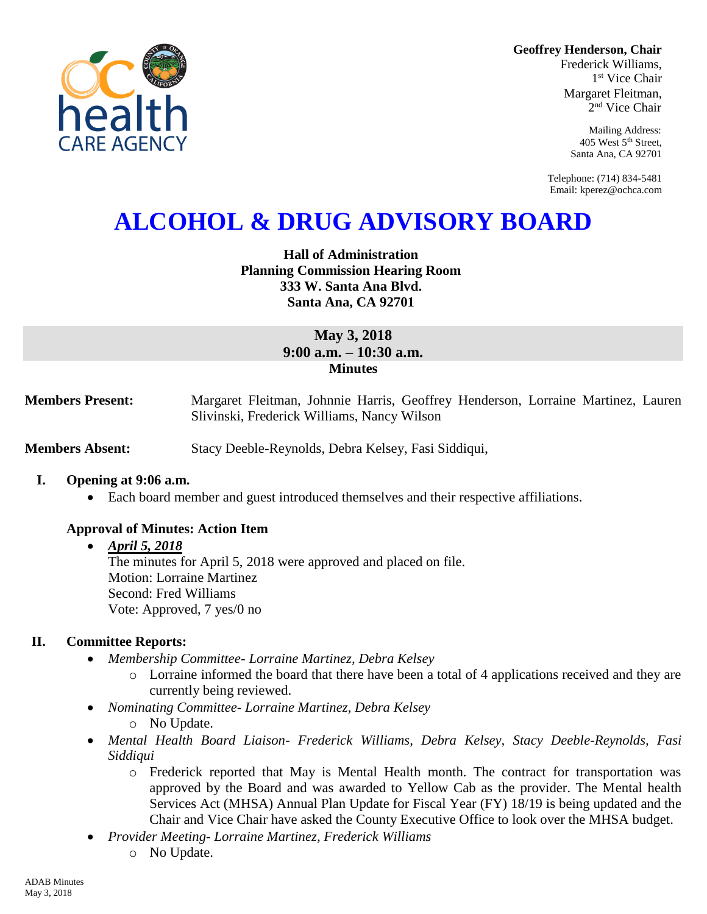**Geoffrey Henderson, Chair**

Frederick Williams, 1 st Vice Chair Margaret Fleitman, 2 nd Vice Chair

> Mailing Address: 405 West 5th Street, Santa Ana, CA 92701

Telephone: (714) 834-5481 Email: kperez@ochca.com

# **ALCOHOL & DRUG ADVISORY BOARD**

## **Hall of Administration Planning Commission Hearing Room 333 W. Santa Ana Blvd. Santa Ana, CA 92701**

## **May 3, 2018 9:00 a.m. – 10:30 a.m. Minutes**

**Members Present:** Margaret Fleitman, Johnnie Harris, Geoffrey Henderson, Lorraine Martinez, Lauren Slivinski, Frederick Williams, Nancy Wilson

**Members Absent:** Stacy Deeble-Reynolds, Debra Kelsey, Fasi Siddiqui,

#### **I. Opening at 9:06 a.m.**

Each board member and guest introduced themselves and their respective affiliations.

## **Approval of Minutes: Action Item**

## *April 5, 2018* The minutes for April 5, 2018 were approved and placed on file. Motion: Lorraine Martinez Second: Fred Williams Vote: Approved, 7 yes/0 no

# **II. Committee Reports:**

- *Membership Committee- Lorraine Martinez, Debra Kelsey* 
	- o Lorraine informed the board that there have been a total of 4 applications received and they are currently being reviewed.
- *Nominating Committee- Lorraine Martinez, Debra Kelsey*
	- o No Update.
- *Mental Health Board Liaison- Frederick Williams, Debra Kelsey, Stacy Deeble-Reynolds, Fasi Siddiqui*
	- o Frederick reported that May is Mental Health month. The contract for transportation was approved by the Board and was awarded to Yellow Cab as the provider. The Mental health Services Act (MHSA) Annual Plan Update for Fiscal Year (FY) 18/19 is being updated and the Chair and Vice Chair have asked the County Executive Office to look over the MHSA budget.
- *Provider Meeting- Lorraine Martinez, Frederick Williams* o No Update.

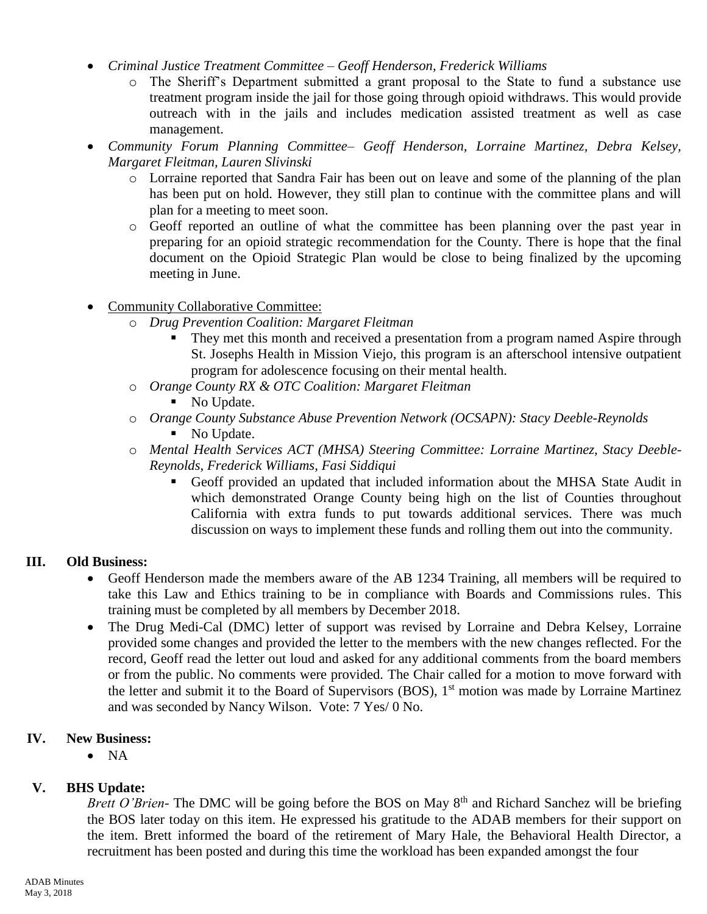- *Criminal Justice Treatment Committee – Geoff Henderson, Frederick Williams*
	- o The Sheriff's Department submitted a grant proposal to the State to fund a substance use treatment program inside the jail for those going through opioid withdraws. This would provide outreach with in the jails and includes medication assisted treatment as well as case management.
- *Community Forum Planning Committee– Geoff Henderson, Lorraine Martinez, Debra Kelsey, Margaret Fleitman, Lauren Slivinski*
	- o Lorraine reported that Sandra Fair has been out on leave and some of the planning of the plan has been put on hold. However, they still plan to continue with the committee plans and will plan for a meeting to meet soon.
	- o Geoff reported an outline of what the committee has been planning over the past year in preparing for an opioid strategic recommendation for the County. There is hope that the final document on the Opioid Strategic Plan would be close to being finalized by the upcoming meeting in June.
- Community Collaborative Committee:
	- o *Drug Prevention Coalition: Margaret Fleitman*
		- They met this month and received a presentation from a program named Aspire through St. Josephs Health in Mission Viejo, this program is an afterschool intensive outpatient program for adolescence focusing on their mental health.
	- o *Orange County RX & OTC Coalition: Margaret Fleitman*
		- No Update.
	- o *Orange County Substance Abuse Prevention Network (OCSAPN): Stacy Deeble-Reynolds* No Update.
	- o *Mental Health Services ACT (MHSA) Steering Committee: Lorraine Martinez, Stacy Deeble-Reynolds, Frederick Williams, Fasi Siddiqui*
		- Geoff provided an updated that included information about the MHSA State Audit in which demonstrated Orange County being high on the list of Counties throughout California with extra funds to put towards additional services. There was much discussion on ways to implement these funds and rolling them out into the community.

# **III. Old Business:**

- Geoff Henderson made the members aware of the AB 1234 Training, all members will be required to take this Law and Ethics training to be in compliance with Boards and Commissions rules. This training must be completed by all members by December 2018.
- The Drug Medi-Cal (DMC) letter of support was revised by Lorraine and Debra Kelsey, Lorraine provided some changes and provided the letter to the members with the new changes reflected. For the record, Geoff read the letter out loud and asked for any additional comments from the board members or from the public. No comments were provided. The Chair called for a motion to move forward with the letter and submit it to the Board of Supervisors (BOS), 1<sup>st</sup> motion was made by Lorraine Martinez and was seconded by Nancy Wilson. Vote: 7 Yes/ 0 No.

## **IV. New Business:**

 $\bullet$  NA

# **V. BHS Update:**

*Brett O'Brien*- The DMC will be going before the BOS on May 8<sup>th</sup> and Richard Sanchez will be briefing the BOS later today on this item. He expressed his gratitude to the ADAB members for their support on the item. Brett informed the board of the retirement of Mary Hale, the Behavioral Health Director, a recruitment has been posted and during this time the workload has been expanded amongst the four